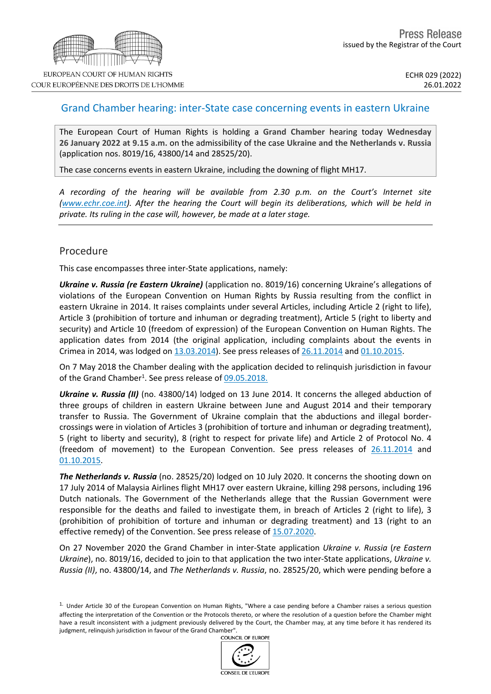

## Grand Chamber hearing: inter-State case concerning events in eastern Ukraine

The European Court of Human Rights is holding a **Grand Chamber** hearing today **Wednesday 26 January 2022 at 9.15 a.m.** on the admissibility of the case **Ukraine and the Netherlands v. Russia** (application nos. 8019/16, 43800/14 and 28525/20).

The case concerns events in eastern Ukraine, including the downing of flight MH17.

*A recording of the hearing will be available from 2.30 p.m. on the Court's Internet site [\(www.echr.coe.int\)](www.echr.coe.int). After the hearing the Court will begin its deliberations, which will be held in private. Its ruling in the case will, however, be made at a later stage.*

### Procedure

This case encompasses three inter-State applications, namely:

*Ukraine v. Russia (re Eastern Ukraine)* (application no. 8019/16) concerning Ukraine's allegations of violations of the European Convention on Human Rights by Russia resulting from the conflict in eastern Ukraine in 2014. It raises complaints under several Articles, including Article 2 (right to life), Article 3 (prohibition of torture and inhuman or degrading treatment), Article 5 (right to liberty and security) and Article 10 (freedom of expression) of the European Convention on Human Rights. The application dates from 2014 (the original application, including complaints about the events in Crimea in 2014, was lodged on [13.03.2014\)](http://hudoc.echr.coe.int/eng-press?i=003-4699472-5703982). See press releases of [26.11.2014](http://hudoc.echr.coe.int/eng-press?i=003-4945099-6056223) and [01.10.2015.](http://hudoc.echr.coe.int/eng-press?i=003-5187816-6420666)

On 7 May 2018 the Chamber dealing with the application decided to relinquish jurisdiction in favour of the Grand Chamber<sup>1</sup>. See press release of [09.05.2018.](http://hudoc.echr.coe.int/eng-press?i=003-6081540-7832894)

*Ukraine v. Russia (II)* (no. 43800/14) lodged on 13 June 2014. It concerns the alleged abduction of three groups of children in eastern Ukraine between June and August 2014 and their temporary transfer to Russia. The Government of Ukraine complain that the abductions and illegal bordercrossings were in violation of Articles 3 (prohibition of torture and inhuman or degrading treatment), 5 (right to liberty and security), 8 (right to respect for private life) and Article 2 of Protocol No. 4 (freedom of movement) to the European Convention. See press releases of [26.11.2014](http://hudoc.echr.coe.int/eng-press?i=003-4945099-6056223) and [01.10.2015](http://hudoc.echr.coe.int/eng-press?i=003-5187816-6420666).

*The Netherlands v. Russia* (no. 28525/20) lodged on 10 July 2020. It concerns the shooting down on 17 July 2014 of Malaysia Airlines flight MH17 over eastern Ukraine, killing 298 persons, including 196 Dutch nationals. The Government of the Netherlands allege that the Russian Government were responsible for the deaths and failed to investigate them, in breach of Articles 2 (right to life), 3 (prohibition of prohibition of torture and inhuman or degrading treatment) and 13 (right to an effective remedy) of the Convention. See press release of [15.07.2020.](http://hudoc.echr.coe.int/eng-press?i=003-6748208-9004448)

On 27 November 2020 the Grand Chamber in inter-State application *Ukraine v. Russia* (*re Eastern Ukraine*), no. 8019/16, decided to join to that application the two inter-State applications, *Ukraine v. Russia (II)*, no. 43800/14, and *The Netherlands v. Russia*, no. 28525/20, which were pending before a

<sup>1.</sup> Under Article 30 of the European Convention on Human Rights, "Where a case pending before a Chamber raises a serious question affecting the interpretation of the Convention or the Protocols thereto, or where the resolution of a question before the Chamber might have a result inconsistent with a judgment previously delivered by the Court, the Chamber may, at any time before it has rendered its judgment, relinquish jurisdiction in favour of the Grand Chamber".OF FUROPE

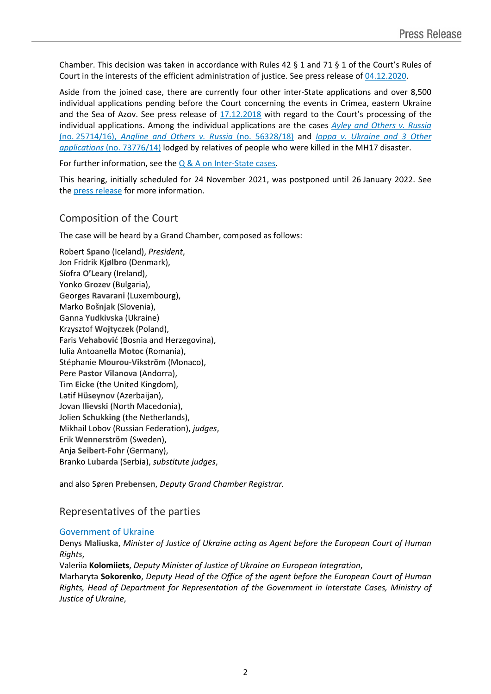Chamber. This decision was taken in accordance with Rules 42 § 1 and 71 § 1 of the Court's Rules of Court in the interests of the efficient administration of justice. See press release of [04.12.2020.](http://hudoc.echr.coe.int/eng-press?i=003-6875827-9221606)

Aside from the joined case, there are currently four other inter-State applications and over 8,500 individual applications pending before the Court concerning the events in Crimea, eastern Ukraine and the Sea of Azov. See press release of [17.12.2018](http://hudoc.echr.coe.int/eng-press?i=003-6282063-8189102) with regard to the Court's processing of the individual applications. Among the individual applications are the cases *Ayley and [Others](http://hudoc.echr.coe.int/eng-press?i=003-6376180-8356050) v. Russia* (no. [25714/16\),](http://hudoc.echr.coe.int/eng-press?i=003-6376180-8356050) *Angline and Others v. Russia* (no. 56328/18) and *Ioppa v. [Ukraine](http://hudoc.echr.coe.int/eng?i=001-165535) and 3 Other [applications](http://hudoc.echr.coe.int/eng?i=001-165535)* (no. 73776/14) lodged by relatives of people who were killed in the MH17 disaster.

For further information, see the  $Q & A$  on [Inter-State](https://echr.coe.int/Documents/Press_Q_A_Inter-State_cases_ENG.pdf) cases.

This hearing, initially scheduled for 24 November 2021, was postponed until 26 January 2022. See the press [release](https://hudoc.echr.coe.int/eng-press?i=003-7181094-9746818) for more information.

# Composition of the Court

The case will be heard by a Grand Chamber, composed as follows:

Robert **Spano** (Iceland), *President*, Jon Fridrik **Kjølbro** (Denmark), Síofra **O'Leary** (Ireland), Yonko **Grozev** (Bulgaria), Georges **Ravarani** (Luxembourg), Marko **Bošnjak** (Slovenia), Ganna **Yudkivska** (Ukraine) Krzysztof **Wojtyczek** (Poland), Faris **Vehabović** (Bosnia and Herzegovina), Iulia Antoanella **Motoc** (Romania), Stéphanie **Mourou-Vikström** (Monaco), Pere **Pastor Vilanova** (Andorra), Tim **Eicke** (the United Kingdom), Lətif **Hüseynov** (Azerbaijan), Jovan **Ilievski** (North Macedonia), Jolien **Schukking** (the Netherlands), Mikhail Lobov (Russian Federation), *judges*, Erik **Wennerström** (Sweden), Anja **Seibert-Fohr** (Germany), Branko **Lubarda** (Serbia), *substitute judges*,

and also Søren **Prebensen**, *Deputy Grand Chamber Registrar.*

## Representatives of the parties

### Government of Ukraine

Denys **Maliuska**, *Minister of Justice of Ukraine acting as Agent before the European Court of Human Rights*,

Valeriia **Kolomiiets**, *Deputy Minister of Justice of Ukraine on European Integration*, Marharyta **Sokorenko**, *Deputy Head of the Office of the agent before the European Court of Human Rights, Head of Department for Representation of the Government in Interstate Cases, Ministry of*

*Justice of Ukraine*,